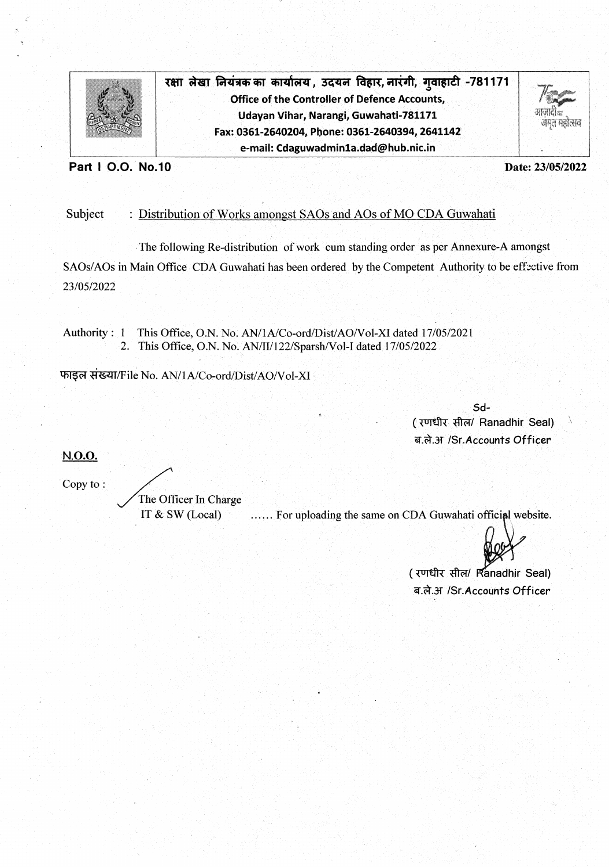

रक्षा लेखा नियंत्रक का कार्यालय , उदयन विहार, नारंगी, गुवाहाटी -781171 **Office of the Controller of Defence Accounts,** Udayan Vihar, Narangi, Guwahati-781171 Fax: 0361-2640204, Phone: 0361-2640394, 2641142 e-mail: Cdaguwadmin1a.dad@hub.nic.in



Part I O.O. No.10

Date: 23/05/2022

## Subject : Distribution of Works amongst SAOs and AOs of MO CDA Guwahati

The following Re-distribution of work cum standing order as per Annexure-A amongst SAOs/AOs in Main Office CDA Guwahati has been ordered by the Competent Authority to be effective from 23/05/2022

This Office, O.N. No. AN/1A/Co-ord/Dist/AO/Vol-XI dated 17/05/2021 Authority :  $1$ 2. This Office, O.N. No. AN/II/122/Sparsh/Vol-I dated 17/05/2022

फाइल संख्या/File No. AN/1A/Co-ord/Dist/AO/Vol-XI

Sd-(रणधीर सील/ Ranadhir Seal) ब.ले.अ /Sr.Accounts Officer

N.O.O.

Copy to:

The Officer In Charge IT & SW (Local)

...... For uploading the same on CDA Guwahati official website.

(रणधीर सील/ Ranadhir Seal) ब.ले.अ /Sr.Accounts Officer